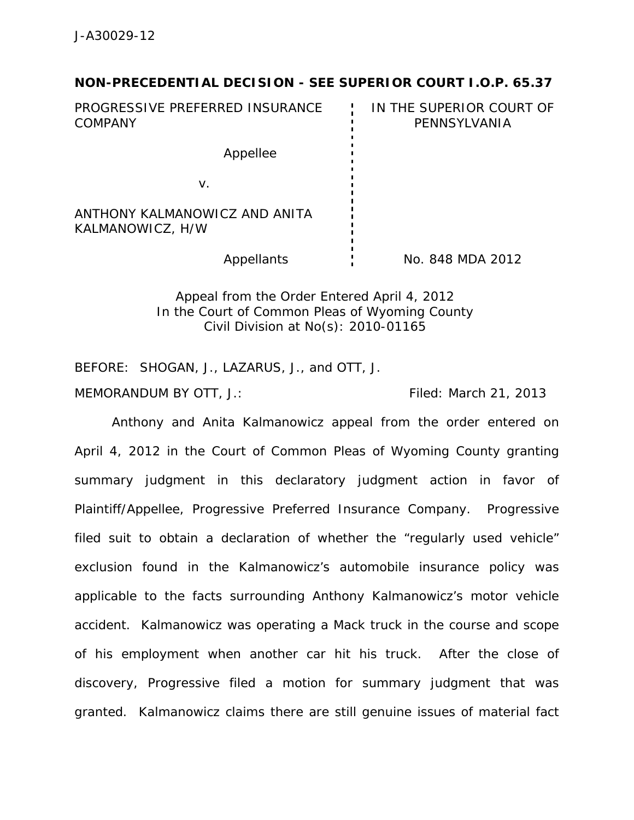## **NON-PRECEDENTIAL DECISION - SEE SUPERIOR COURT I.O.P. 65.37**

PROGRESSIVE PREFERRED INSURANCE COMPANY IN THE SUPERIOR COURT OF PENNSYLVANIA Appellee v. ANTHONY KALMANOWICZ AND ANITA KALMANOWICZ, H/W

Appellants : No. 848 MDA 2012

Appeal from the Order Entered April 4, 2012 In the Court of Common Pleas of Wyoming County Civil Division at No(s): 2010-01165

BEFORE: SHOGAN, J., LAZARUS, J., and OTT, J.

MEMORANDUM BY OTT, J.: Filed: March 21, 2013

 Anthony and Anita Kalmanowicz appeal from the order entered on April 4, 2012 in the Court of Common Pleas of Wyoming County granting summary judgment in this declaratory judgment action in favor of Plaintiff/Appellee, Progressive Preferred Insurance Company. Progressive filed suit to obtain a declaration of whether the "regularly used vehicle" exclusion found in the Kalmanowicz's automobile insurance policy was applicable to the facts surrounding Anthony Kalmanowicz's motor vehicle accident. Kalmanowicz was operating a Mack truck in the course and scope of his employment when another car hit his truck. After the close of discovery, Progressive filed a motion for summary judgment that was granted. Kalmanowicz claims there are still genuine issues of material fact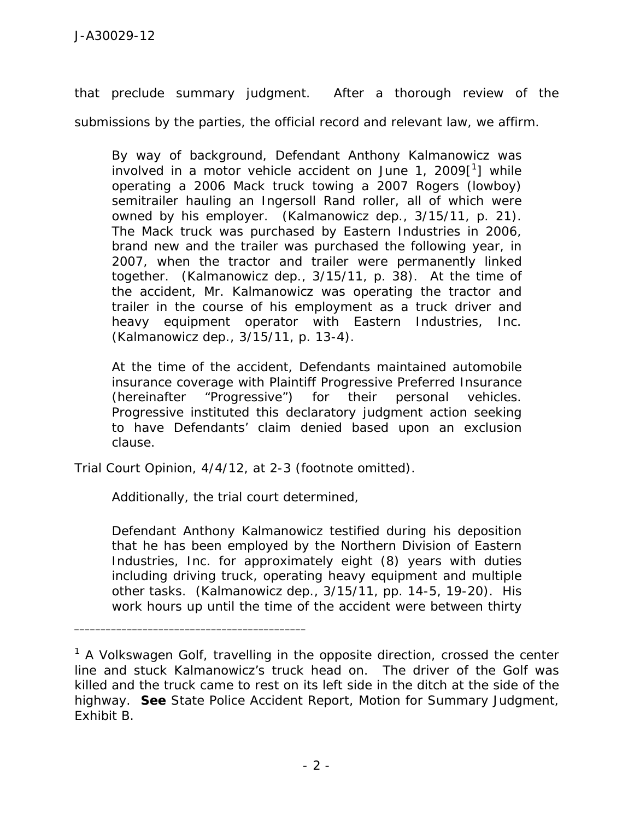that preclude summary judgment. After a thorough review of the submissions by the parties, the official record and relevant law, we affirm.

By way of background, Defendant Anthony Kalmanowicz was involved in a motor vehicle accident on June 1, 2009 $[^1]$  while operating a 2006 Mack truck towing a 2007 Rogers (lowboy) semitrailer hauling an Ingersoll Rand roller, all of which were owned by his employer. (Kalmanowicz dep., 3/15/11, p. 21). The Mack truck was purchased by Eastern Industries in 2006, brand new and the trailer was purchased the following year, in 2007, when the tractor and trailer were permanently linked together. (Kalmanowicz dep., 3/15/11, p. 38). At the time of the accident, Mr. Kalmanowicz was operating the tractor and trailer in the course of his employment as a truck driver and heavy equipment operator with Eastern Industries, Inc. (Kalmanowicz dep., 3/15/11, p. 13-4).

At the time of the accident, Defendants maintained automobile insurance coverage with Plaintiff Progressive Preferred Insurance (hereinafter "Progressive") for their personal vehicles. Progressive instituted this declaratory judgment action seeking to have Defendants' claim denied based upon an exclusion clause.

Trial Court Opinion, 4/4/12, at 2-3 (footnote omitted).

Additionally, the trial court determined,

\_\_\_\_\_\_\_\_\_\_\_\_\_\_\_\_\_\_\_\_\_\_\_\_\_\_\_\_\_\_\_\_\_\_\_\_\_\_\_\_\_\_\_\_

Defendant Anthony Kalmanowicz testified during his deposition that he has been employed by the Northern Division of Eastern Industries, Inc. for approximately eight (8) years with duties including driving truck, operating heavy equipment and multiple other tasks. (Kalmanowicz dep., 3/15/11, pp. 14-5, 19-20). His work hours up until the time of the accident were between thirty

<sup>&</sup>lt;sup>1</sup> A Volkswagen Golf, travelling in the opposite direction, crossed the center line and stuck Kalmanowicz's truck head on. The driver of the Golf was killed and the truck came to rest on its left side in the ditch at the side of the highway. *See* State Police Accident Report, Motion for Summary Judgment, Exhibit B.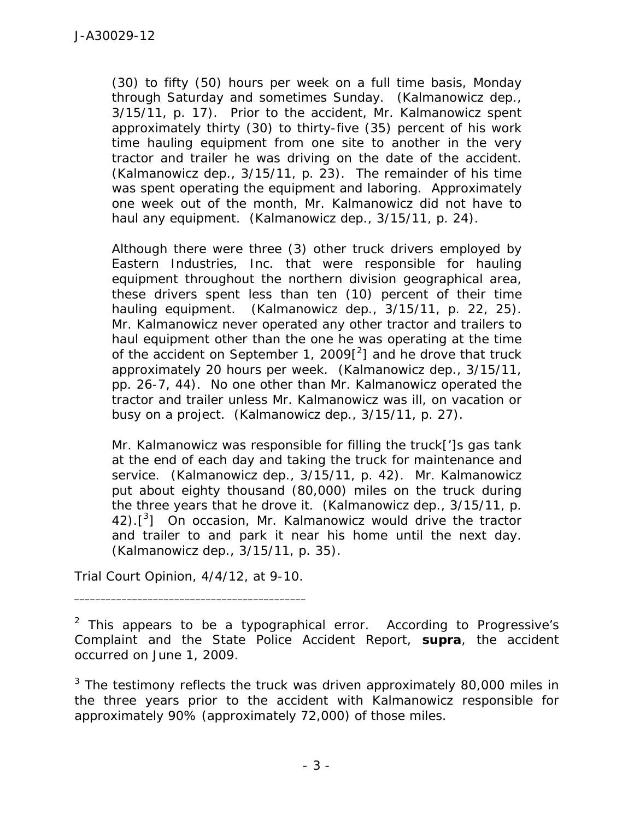(30) to fifty (50) hours per week on a full time basis, Monday through Saturday and sometimes Sunday. (Kalmanowicz dep., 3/15/11, p. 17). Prior to the accident, Mr. Kalmanowicz spent approximately thirty (30) to thirty-five (35) percent of his work time hauling equipment from one site to another in the very tractor and trailer he was driving on the date of the accident. (Kalmanowicz dep., 3/15/11, p. 23). The remainder of his time was spent operating the equipment and laboring. Approximately one week out of the month, Mr. Kalmanowicz did not have to haul any equipment. (Kalmanowicz dep., 3/15/11, p. 24).

Although there were three (3) other truck drivers employed by Eastern Industries, Inc. that were responsible for hauling equipment throughout the northern division geographical area, these drivers spent less than ten (10) percent of their time hauling equipment. (Kalmanowicz dep., 3/15/11, p. 22, 25). Mr. Kalmanowicz never operated any other tractor and trailers to haul equipment other than the one he was operating at the time of the accident on September 1, 2009 $[^2]$  and he drove that truck approximately 20 hours per week. (Kalmanowicz dep., 3/15/11, pp. 26-7, 44). No one other than Mr. Kalmanowicz operated the tractor and trailer unless Mr. Kalmanowicz was ill, on vacation or busy on a project. (Kalmanowicz dep., 3/15/11, p. 27).

Mr. Kalmanowicz was responsible for filling the truck[']s gas tank at the end of each day and taking the truck for maintenance and service. (Kalmanowicz dep., 3/15/11, p. 42). Mr. Kalmanowicz put about eighty thousand (80,000) miles on the truck during the three years that he drove it. (Kalmanowicz dep., 3/15/11, p.  $42$ ). $\left[ \begin{matrix} 3 \end{matrix} \right]$  On occasion, Mr. Kalmanowicz would drive the tractor and trailer to and park it near his home until the next day. (Kalmanowicz dep., 3/15/11, p. 35).

Trial Court Opinion, 4/4/12, at 9-10. \_\_\_\_\_\_\_\_\_\_\_\_\_\_\_\_\_\_\_\_\_\_\_\_\_\_\_\_\_\_\_\_\_\_\_\_\_\_\_\_\_\_\_\_

<sup>&</sup>lt;sup>2</sup> This appears to be a typographical error. According to Progressive's Complaint and the State Police Accident Report, *supra*, the accident occurred on June 1, 2009.

 $3$  The testimony reflects the truck was driven approximately 80,000 miles in the three years prior to the accident with Kalmanowicz responsible for approximately 90% (approximately 72,000) of those miles.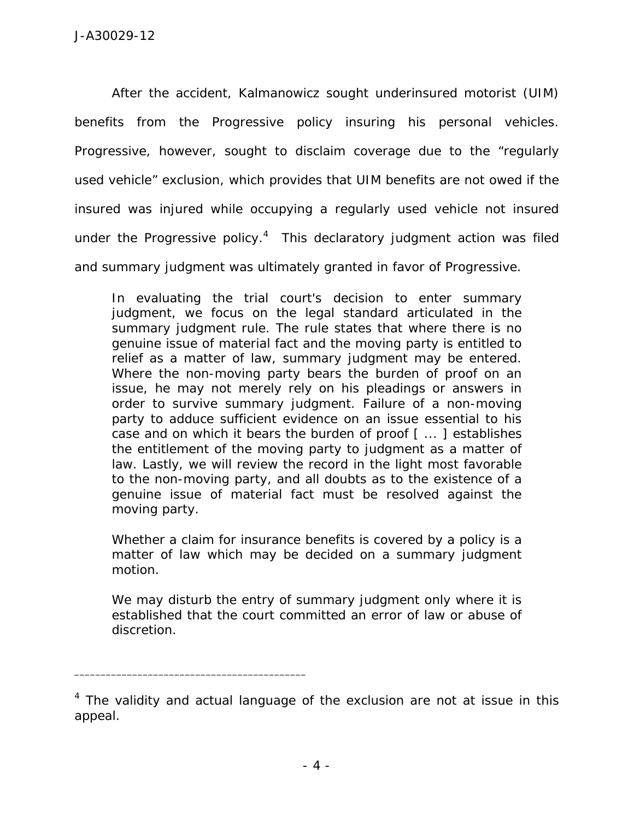After the accident, Kalmanowicz sought underinsured motorist (UIM) benefits from the Progressive policy insuring his personal vehicles. Progressive, however, sought to disclaim coverage due to the "regularly used vehicle" exclusion, which provides that UIM benefits are not owed if the insured was injured while occupying a regularly used vehicle not insured under the Progressive policy. $4$  This declaratory judgment action was filed and summary judgment was ultimately granted in favor of Progressive.

In evaluating the trial court's decision to enter summary judgment, we focus on the legal standard articulated in the summary judgment rule. The rule states that where there is no genuine issue of material fact and the moving party is entitled to relief as a matter of law, summary judgment may be entered. Where the non-moving party bears the burden of proof on an issue, he may not merely rely on his pleadings or answers in order to survive summary judgment. Failure of a non-moving party to adduce sufficient evidence on an issue essential to his case and on which it bears the burden of proof [ ... ] establishes the entitlement of the moving party to judgment as a matter of law. Lastly, we will review the record in the light most favorable to the non-moving party, and all doubts as to the existence of a genuine issue of material fact must be resolved against the moving party.

Whether a claim for insurance benefits is covered by a policy is a matter of law which may be decided on a summary judgment motion.

We may disturb the entry of summary judgment only where it is established that the court committed an error of law or abuse of discretion.

\_\_\_\_\_\_\_\_\_\_\_\_\_\_\_\_\_\_\_\_\_\_\_\_\_\_\_\_\_\_\_\_\_\_\_\_\_\_\_\_\_\_\_\_

<sup>&</sup>lt;sup>4</sup> The validity and actual language of the exclusion are not at issue in this appeal.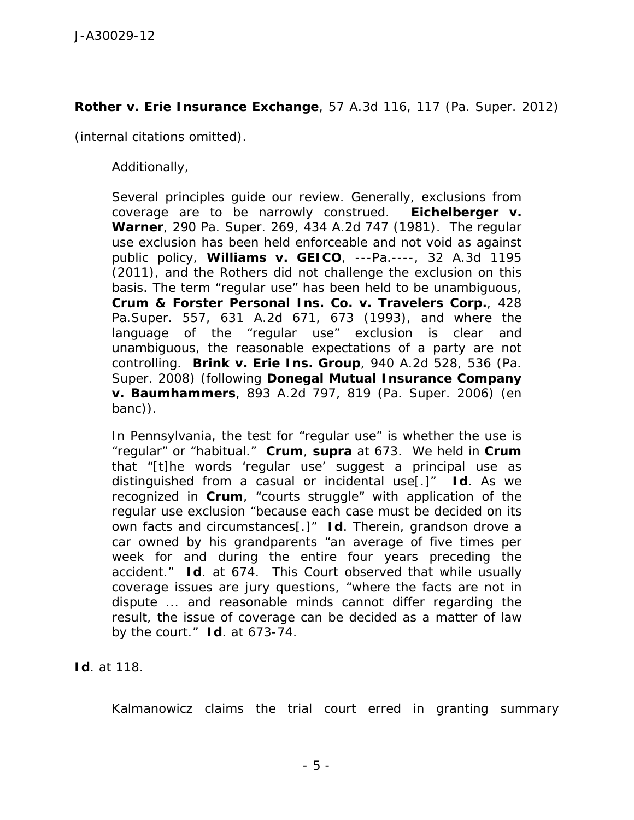## *Rother v. Erie Insurance Exchange*, 57 A.3d 116, 117 (Pa. Super. 2012)

(internal citations omitted).

Additionally,

Several principles guide our review. Generally, exclusions from coverage are to be narrowly construed. *Eichelberger v. Warner*, 290 Pa. Super. 269, 434 A.2d 747 (1981). The regular use exclusion has been held enforceable and not void as against public policy, *Williams v. GEICO*, ---Pa.----, 32 A.3d 1195 (2011), and the Rothers did not challenge the exclusion on this basis. The term "regular use" has been held to be unambiguous, *Crum & Forster Personal Ins. Co. v. Travelers Corp.*, 428 Pa.Super. 557, 631 A.2d 671, 673 (1993), and where the language of the "regular use" exclusion is clear and unambiguous, the reasonable expectations of a party are not controlling. *Brink v. Erie Ins. Group*, 940 A.2d 528, 536 (Pa. Super. 2008) (following *Donegal Mutual Insurance Company v. Baumhammers*, 893 A.2d 797, 819 (Pa. Super. 2006) (*en banc*)).

In Pennsylvania, the test for "regular use" is whether the use is "regular" or "habitual." *Crum*, *supra* at 673. We held in *Crum* that "[t]he words 'regular use' suggest a principal use as distinguished from a casual or incidental use[.]" *Id*. As we recognized in *Crum*, "courts struggle" with application of the regular use exclusion "because each case must be decided on its own facts and circumstances[.]" *Id*. Therein, grandson drove a car owned by his grandparents "an average of five times per week for and during the entire four years preceding the accident." *Id*. at 674. This Court observed that while usually coverage issues are jury questions, "where the facts are not in dispute ... and reasonable minds cannot differ regarding the result, the issue of coverage can be decided as a matter of law by the court." *Id*. at 673-74.

*Id*. at 118.

Kalmanowicz claims the trial court erred in granting summary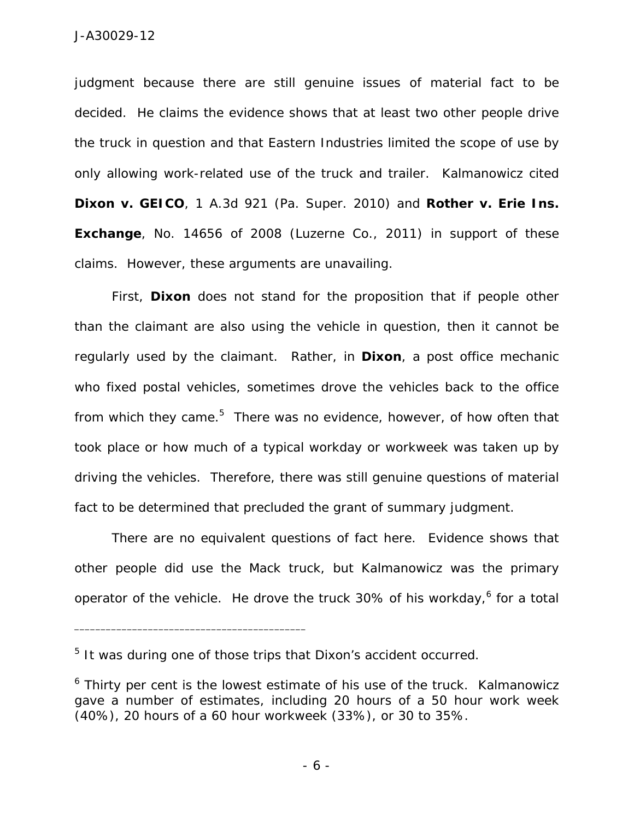judgment because there are still genuine issues of material fact to be decided. He claims the evidence shows that at least two other people drive the truck in question and that Eastern Industries limited the scope of use by only allowing work-related use of the truck and trailer. Kalmanowicz cited *Dixon v. GEICO*, 1 A.3d 921 (Pa. Super. 2010) and *Rother v. Erie Ins. Exchange*, No. 14656 of 2008 (Luzerne Co., 2011) in support of these claims. However, these arguments are unavailing.

 First, *Dixon* does not stand for the proposition that if people other than the claimant are also using the vehicle in question, then it cannot be regularly used by the claimant. Rather, in *Dixon*, a post office mechanic who fixed postal vehicles, sometimes drove the vehicles back to the office from which they came.<sup>5</sup> There was no evidence, however, of how often that took place or how much of a typical workday or workweek was taken up by driving the vehicles. Therefore, there was still genuine questions of material fact to be determined that precluded the grant of summary judgment.

There are no equivalent questions of fact here. Evidence shows that other people did use the Mack truck, but Kalmanowicz was the primary operator of the vehicle. He drove the truck 30% of his workday,<sup>6</sup> for a total

\_\_\_\_\_\_\_\_\_\_\_\_\_\_\_\_\_\_\_\_\_\_\_\_\_\_\_\_\_\_\_\_\_\_\_\_\_\_\_\_\_\_\_\_

<sup>&</sup>lt;sup>5</sup> It was during one of those trips that Dixon's accident occurred.

<sup>&</sup>lt;sup>6</sup> Thirty per cent is the lowest estimate of his use of the truck. Kalmanowicz gave a number of estimates, including 20 hours of a 50 hour work week (40%), 20 hours of a 60 hour workweek (33%), or 30 to 35%.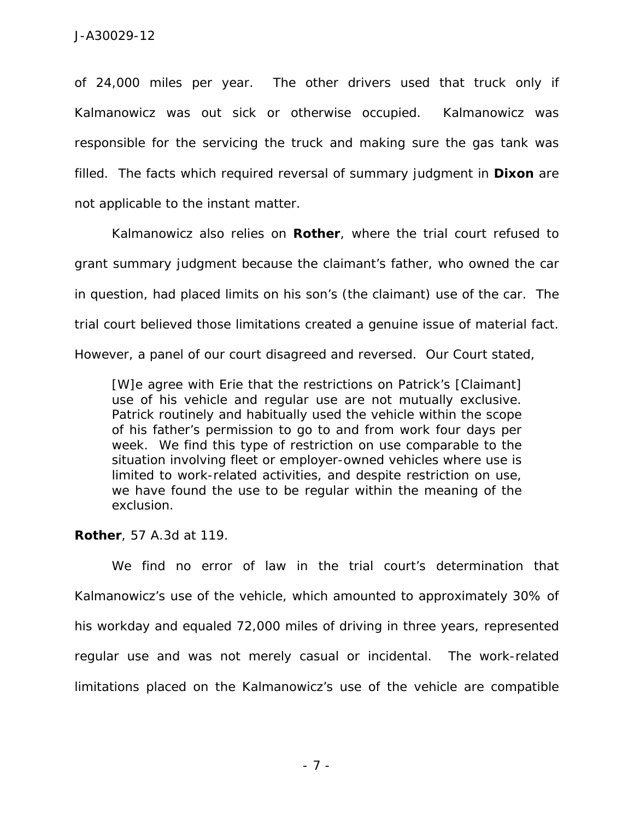of 24,000 miles per year. The other drivers used that truck only if Kalmanowicz was out sick or otherwise occupied. Kalmanowicz was responsible for the servicing the truck and making sure the gas tank was filled. The facts which required reversal of summary judgment in *Dixon* are not applicable to the instant matter.

Kalmanowicz also relies on *Rother*, where the trial court refused to grant summary judgment because the claimant's father, who owned the car in question, had placed limits on his son's (the claimant) use of the car. The trial court believed those limitations created a genuine issue of material fact. However, a panel of our court disagreed and reversed. Our Court stated,

[W]e agree with Erie that the restrictions on Patrick's [Claimant] use of his vehicle and regular use are not mutually exclusive. Patrick routinely and habitually used the vehicle within the scope of his father's permission to go to and from work four days per week. We find this type of restriction on use comparable to the situation involving fleet or employer-owned vehicles where use is limited to work-related activities, and despite restriction on use, we have found the use to be regular within the meaning of the exclusion.

## *Rother*, 57 A.3d at 119.

 We find no error of law in the trial court's determination that Kalmanowicz's use of the vehicle, which amounted to approximately 30% of his workday and equaled 72,000 miles of driving in three years, represented regular use and was not merely casual or incidental. The work-related limitations placed on the Kalmanowicz's use of the vehicle are compatible